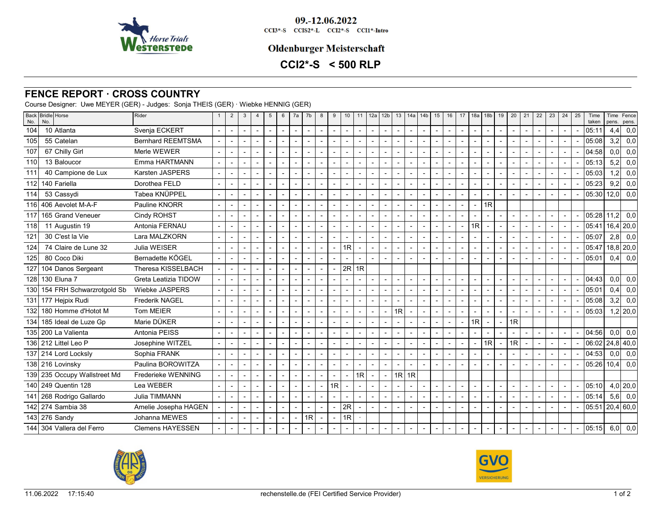

09.-12.06.2022 CCI3\*-S CCIS2\*-L CCI2\*-S CCI1\*-Intro

## **Oldenburger Meisterschaft**

# **CCI2\*-S < 500 RLP**

### **FENCE REPORT · CROSS COUNTRY**

Course Designer: Uwe MEYER (GER) - Judges: Sonja THEIS (GER) · Wiebke HENNIG (GER)

| No.   | Back Bridle Horse<br>No.     | Rider                    | $\overline{2}$           | 3                        | $\overline{4}$ | 5                        | 6                        | 7a                       | 7 <sub>b</sub>           | 8                        | 9                        | 10             |                | 11 $12a$       | 12 <sub>b</sub>          | 13                       |                          | 14a   14b      | 15                       | 16                       | 17             | 18a | 18 <sub>b</sub>          | 19                       | 20                       | 21                       | 22                       | 23                       | 24 | 25 | Time<br>taken     | pens.            | Time Fence<br>pens. |
|-------|------------------------------|--------------------------|--------------------------|--------------------------|----------------|--------------------------|--------------------------|--------------------------|--------------------------|--------------------------|--------------------------|----------------|----------------|----------------|--------------------------|--------------------------|--------------------------|----------------|--------------------------|--------------------------|----------------|-----|--------------------------|--------------------------|--------------------------|--------------------------|--------------------------|--------------------------|----|----|-------------------|------------------|---------------------|
| 104   | 10 Atlanta                   | Svenja ECKERT            | $\overline{a}$           | $\overline{a}$           |                | $\overline{\phantom{a}}$ | $\overline{\phantom{a}}$ | $\overline{a}$           | $\overline{\phantom{a}}$ | $\overline{\phantom{a}}$ | $\overline{a}$           | $\overline{a}$ | $\blacksquare$ | $\overline{a}$ | $\blacksquare$           | $\overline{a}$           | $\sim$                   |                | $\overline{\phantom{a}}$ | $\overline{a}$           | $\overline{a}$ |     | $\overline{\phantom{a}}$ | $\overline{\phantom{a}}$ | $\overline{\phantom{a}}$ | $\overline{\phantom{a}}$ | $\overline{\phantom{a}}$ | $\overline{\phantom{0}}$ |    |    | 05:11             | 4,4              | 0,0                 |
| 105   | 55 Catelan                   | <b>Bernhard REEMTSMA</b> |                          |                          |                | $\overline{\phantom{a}}$ |                          |                          |                          | $\blacksquare$           |                          |                |                |                | $\sim$                   |                          | $\sim$                   |                | $\blacksquare$           |                          |                |     | $\overline{\phantom{a}}$ | $\blacksquare$           |                          |                          |                          |                          |    |    | 05:08             | 3,2              | 0,0                 |
| 107   | 67 Chilly Girl               | Merle WEWER              | $\overline{\phantom{a}}$ |                          |                |                          | $\blacksquare$           |                          |                          | $\blacksquare$           | $\overline{\phantom{a}}$ |                |                |                | $\blacksquare$           |                          | $\blacksquare$           |                | $\blacksquare$           |                          |                |     | $\overline{\phantom{a}}$ |                          |                          |                          |                          |                          |    |    | 04:58             | 0,0              | 0,0                 |
| 110   | 13 Baloucor                  | Emma HARTMANN            |                          |                          |                |                          |                          |                          |                          | $\blacksquare$           |                          |                |                | $\blacksquare$ | $\overline{\phantom{a}}$ |                          | $\blacksquare$           |                | $\overline{\phantom{a}}$ |                          |                |     | $\overline{\phantom{a}}$ |                          |                          |                          |                          |                          |    |    | 05:13             | 5,2              | 0,0                 |
| 111   | 40 Campione de Lux           | <b>Karsten JASPERS</b>   | $\overline{a}$           |                          |                |                          |                          |                          |                          | $\blacksquare$           | $\overline{\phantom{a}}$ |                |                | $\blacksquare$ | $\overline{a}$           |                          | $\blacksquare$           |                | $\blacksquare$           |                          |                |     | $\overline{\phantom{a}}$ |                          |                          |                          |                          |                          |    |    | 05:03             | 1,2              | 0,0                 |
| 112   | 140 Fariella                 | Dorothea FELD            |                          |                          |                |                          |                          |                          |                          | $\overline{\phantom{a}}$ | $\overline{\phantom{a}}$ |                | $\blacksquare$ |                | $\blacksquare$           |                          | $\sim$                   |                | $\blacksquare$           |                          |                |     | $\blacksquare$           | $\blacksquare$           |                          |                          |                          |                          |    |    | 05:23             | 9,2              | 0,0                 |
| 114   | 53 Cassydi                   | Tabea KNÜPPEL            |                          |                          |                |                          |                          |                          |                          | $\overline{\phantom{a}}$ |                          |                |                |                | $\overline{\phantom{a}}$ |                          | $\blacksquare$           |                | $\overline{\phantom{a}}$ |                          |                |     |                          |                          |                          |                          |                          |                          |    |    | 05:30             | l 12.0l          | 0,0                 |
|       | 116 406 Aevolet M-A-F        | Pauline KNORR            |                          |                          |                | $\overline{\phantom{a}}$ |                          |                          |                          | $\sim$                   |                          |                |                |                | $\sim$                   |                          | $\overline{\phantom{a}}$ |                | $\sim$                   |                          |                |     | 1R                       |                          |                          |                          |                          |                          |    |    |                   |                  |                     |
| 117   | 165 Grand Veneuer            | Cindy ROHST              |                          |                          |                | $\overline{a}$           |                          |                          |                          | $\overline{\phantom{a}}$ | $\blacksquare$           |                |                |                | $\sim$                   |                          | $\overline{a}$           |                | $\blacksquare$           |                          |                |     | $\overline{\phantom{a}}$ |                          |                          |                          |                          | $\overline{\phantom{0}}$ |    |    | 05:28             | 11.2             | 0,0                 |
| 118   | 11 Augustin 19               | Antonia FERNAU           | $\overline{a}$           |                          |                | $\blacksquare$           |                          |                          |                          | $\overline{\phantom{a}}$ | $\blacksquare$           |                |                |                | $\overline{\phantom{a}}$ |                          | $\blacksquare$           |                | $\blacksquare$           |                          | $\overline{a}$ | 1R  | $\sim$                   | $\blacksquare$           |                          |                          |                          | $\overline{\phantom{a}}$ |    |    | 05:41             |                  | $16,4$ 20,0         |
| 121   | 30 C'est la Vie              | Lara MALZKORN            |                          |                          |                |                          |                          |                          |                          | $\overline{\phantom{a}}$ |                          |                |                |                | $\sim$                   |                          | $\blacksquare$           |                | $\blacksquare$           |                          |                |     | $\overline{\phantom{a}}$ | $\blacksquare$           |                          |                          |                          | $\overline{\phantom{a}}$ |    |    | 05:07             |                  | $2,8$ 0,0           |
| 124   | 74 Claire de Lune 32         | Julia WEISER             |                          |                          |                |                          |                          |                          |                          | $\overline{\phantom{a}}$ | $\overline{a}$           | 1 <sub>R</sub> |                |                | $\blacksquare$           |                          | $\overline{a}$           |                | $\overline{a}$           |                          |                |     |                          |                          |                          |                          |                          |                          |    |    | 05:47             |                  | 18,8 20,0           |
| 125   | 80 Coco Diki                 | Bernadette KÖGEL         |                          | $\overline{\phantom{a}}$ |                | $\overline{a}$           | $\overline{a}$           | $\overline{\phantom{a}}$ |                          | $\overline{\phantom{a}}$ |                          |                |                |                | $\sim$                   |                          | $\overline{a}$           |                | $\overline{a}$           |                          |                |     | $\overline{a}$           | $\overline{a}$           |                          |                          |                          |                          |    |    | 05:01             | 0,4              | 0,0                 |
| 127   | 104 Danos Sergeant           | Theresa KISSELBACH       | $\blacksquare$           |                          |                | $\overline{\phantom{a}}$ | $\overline{\phantom{a}}$ | $\overline{\phantom{a}}$ |                          | $\blacksquare$           | $\overline{a}$           | 2R             | l 1R           |                |                          |                          |                          |                |                          |                          |                |     |                          |                          |                          |                          |                          |                          |    |    |                   |                  |                     |
|       | 128 130 Eluna 7              | Greta Leatizia TIDOW     |                          |                          |                |                          |                          |                          |                          | $\blacksquare$           |                          |                |                |                | $\sim$                   |                          | $\sim$                   |                | $\overline{\phantom{a}}$ |                          |                |     | $\overline{\phantom{a}}$ | $\overline{\phantom{a}}$ |                          |                          |                          |                          |    |    | 04:43             | 0,0              | 0,0                 |
| 130 l | 154 FRH Schwarzrotgold Sb    | Wiebke JASPERS           |                          |                          |                |                          |                          |                          | $\overline{\phantom{a}}$ | $\blacksquare$           | $\overline{\phantom{a}}$ |                |                | $\blacksquare$ | $\overline{a}$           |                          | $\blacksquare$           |                | $\blacksquare$           |                          |                |     | $\overline{\phantom{a}}$ |                          |                          |                          |                          |                          |    |    | 05:01             | 0.4              | 0,0                 |
|       | 131 177 Hejpix Rudi          | <b>Frederik NAGEL</b>    |                          |                          |                |                          |                          |                          |                          | $\blacksquare$           |                          |                |                |                | $\blacksquare$           |                          | $\blacksquare$           |                | $\blacksquare$           |                          |                |     | $\overline{\phantom{a}}$ |                          |                          |                          |                          |                          |    |    | 05:08             | 3,2              | 0,0                 |
| 132   | 180 Homme d'Hotot M          | <b>Tom MEIER</b>         |                          |                          |                |                          |                          |                          |                          | $\overline{\phantom{a}}$ |                          |                |                |                | $\overline{\phantom{a}}$ | 1R                       | $\overline{\phantom{a}}$ |                | $\overline{\phantom{a}}$ |                          |                |     |                          |                          |                          |                          |                          |                          |    |    | 05:03             |                  | $1,2$ 20,0          |
| 134   | 185 Ideal de Luze Gp         | Marie DÜKER              |                          |                          |                |                          |                          |                          |                          | $\blacksquare$           |                          |                | $\blacksquare$ | $\overline{a}$ | $\blacksquare$           |                          | $\blacksquare$           |                | $\blacksquare$           |                          | $\overline{a}$ | 1R  | $\sim$                   | $\overline{\phantom{a}}$ | $\overline{1R}$          |                          |                          |                          |    |    |                   |                  |                     |
|       | 135 200 La Valienta          | Antonia PEISS            |                          |                          |                | $\overline{\phantom{a}}$ |                          |                          |                          | $\blacksquare$           | $\blacksquare$           |                |                | $\overline{a}$ | $\sim$                   |                          | $\overline{a}$           | $\overline{a}$ | $\blacksquare$           | $\overline{a}$           |                |     | $\overline{a}$           | $\overline{a}$           |                          |                          | $\overline{a}$           |                          |    |    | 04:56             | 0,0              | 0,0                 |
|       | 136 212 Littel Leo P         | Josephine WITZEL         |                          |                          |                |                          |                          |                          |                          | $\overline{\phantom{a}}$ |                          |                |                |                | $\blacksquare$           |                          |                          |                | $\blacksquare$           |                          |                |     | 1R                       |                          | 1R                       |                          |                          |                          |    |    | 06:02             |                  | $24,8$ 40,0         |
|       | 137 214 Lord Locksly         | Sophia FRANK             |                          |                          |                |                          |                          |                          |                          | $\blacksquare$           | $\blacksquare$           |                |                |                | $\overline{a}$           |                          | $\blacksquare$           |                | $\blacksquare$           |                          |                |     | $\overline{\phantom{a}}$ |                          |                          |                          |                          |                          |    |    | 04:53             | 0.0 <sub>l</sub> | 0,0                 |
|       | 138 216 Lovinsky             | Paulina BOROWITZA        | $\overline{a}$           |                          |                |                          |                          | $\overline{\phantom{0}}$ |                          | $\overline{\phantom{a}}$ | $\overline{a}$           |                |                |                | $\sim$                   |                          | $\overline{a}$           |                | $\overline{a}$           |                          |                |     | $\overline{a}$           | $\overline{a}$           |                          |                          |                          |                          |    |    | 05:26             | 10,4             | 0,0                 |
|       | 139 235 Occupy Wallstreet Md | Frederieke WENNING       |                          |                          |                |                          |                          | $\overline{\phantom{0}}$ |                          | $\overline{\phantom{a}}$ |                          |                | 1R             |                | $\blacksquare$           |                          | $1R$ 1R                  |                |                          |                          |                |     |                          |                          |                          |                          |                          |                          |    |    |                   |                  |                     |
|       | 140 249 Quentin 128          | Lea WEBER                |                          |                          |                |                          | $\overline{a}$           | $\overline{a}$           |                          | $\blacksquare$           | 1R                       |                |                |                | $\overline{\phantom{a}}$ |                          | $\sim$                   |                | $\blacksquare$           |                          |                |     | $\overline{\phantom{a}}$ | $\blacksquare$           |                          |                          |                          | $\blacksquare$           |    |    | 05:10             |                  | $4,0$   20,0        |
|       | 141 268 Rodrigo Gallardo     | Julia TIMMANN            |                          | $\overline{\phantom{0}}$ |                | $\overline{\phantom{a}}$ | $\overline{a}$           | $\overline{\phantom{0}}$ |                          | $\overline{\phantom{a}}$ |                          |                |                |                | $\overline{a}$           |                          | $\overline{a}$           |                | $\overline{a}$           | $\overline{\phantom{a}}$ |                |     | $\overline{\phantom{a}}$ | $\overline{a}$           |                          | $\overline{a}$           | $\overline{\phantom{a}}$ | $\overline{\phantom{0}}$ |    |    | 05:14             |                  | $5,6$ 0,0           |
|       | 142 274 Sambia 38            | Amelie Josepha HAGEN     |                          |                          |                | $\overline{\phantom{a}}$ | $\blacksquare$           |                          | $\blacksquare$           | $\blacksquare$           | $\overline{\phantom{a}}$ | 2R             |                | $\overline{a}$ | $\blacksquare$           | $\blacksquare$           | $\blacksquare$           |                | $\blacksquare$           |                          |                |     | $\overline{\phantom{a}}$ |                          | $\blacksquare$           | $\overline{\phantom{a}}$ | $\overline{\phantom{a}}$ |                          |    |    | $05:51$ 20,4 60,0 |                  |                     |
|       | 143 276 Sandy                | Johanna MEWES            |                          |                          |                |                          |                          |                          | 1R                       | $\overline{\phantom{a}}$ |                          | 1R             |                |                |                          |                          |                          |                |                          |                          |                |     |                          |                          |                          |                          |                          |                          |    |    |                   |                  |                     |
|       | 144 304 Vallera del Ferro    | <b>Clemens HAYESSEN</b>  |                          |                          |                |                          | $\overline{\phantom{a}}$ |                          |                          | $\overline{\phantom{a}}$ |                          |                |                | $\blacksquare$ | $\overline{\phantom{a}}$ | $\overline{\phantom{a}}$ | $\overline{\phantom{a}}$ |                | $\overline{\phantom{a}}$ |                          |                |     | $\overline{\phantom{a}}$ |                          |                          |                          |                          |                          |    |    | 05:15             |                  | $6,0$ 0,0           |